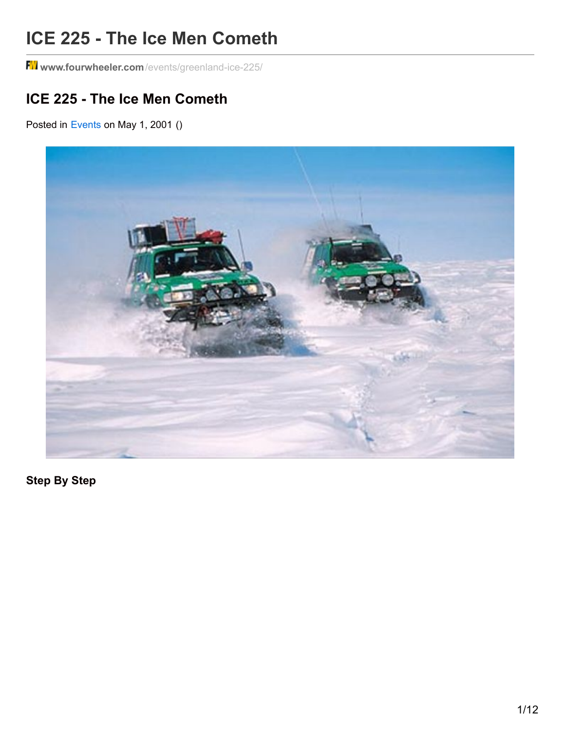# **ICE 225 - The Ice Men Cometh**

**www.fourwheeler.com**[/events/greenland-ice-225/](http://www.fourwheeler.com/events/greenland-ice-225/)

# **ICE 225 - The Ice Men Cometh**

Posted in [Events](http://www.fourwheeler.com/events/) on May 1, 2001 ()



**Step By Step**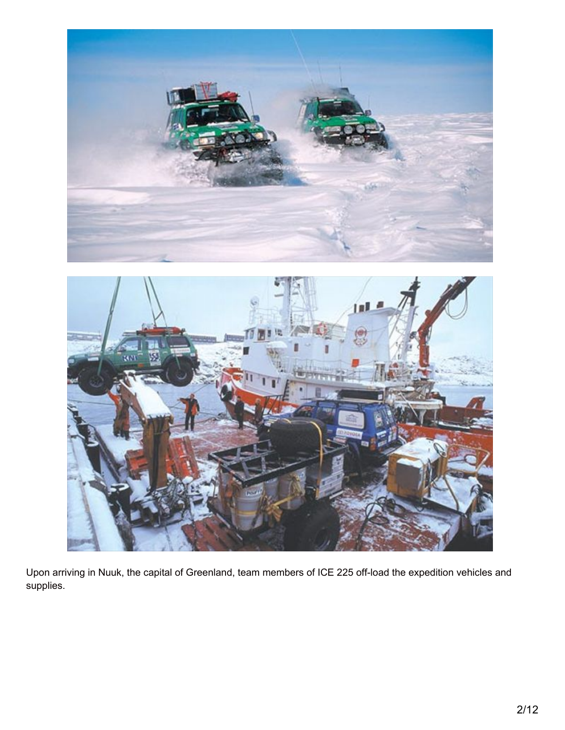



Upon arriving in Nuuk, the capital of Greenland, team members of ICE 225 off-load the expedition vehicles and supplies.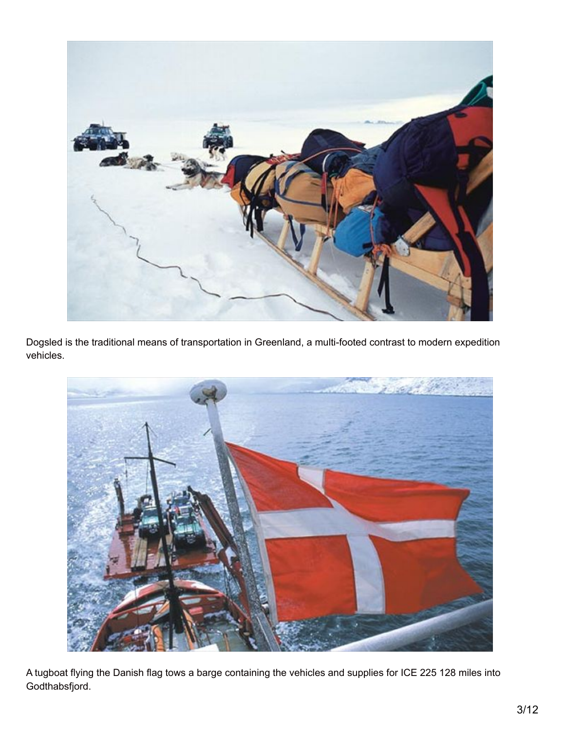

Dogsled is the traditional means of transportation in Greenland, a multi-footed contrast to modern expedition vehicles.



A tugboat flying the Danish flag tows a barge containing the vehicles and supplies for ICE 225 128 miles into Godthabsfjord.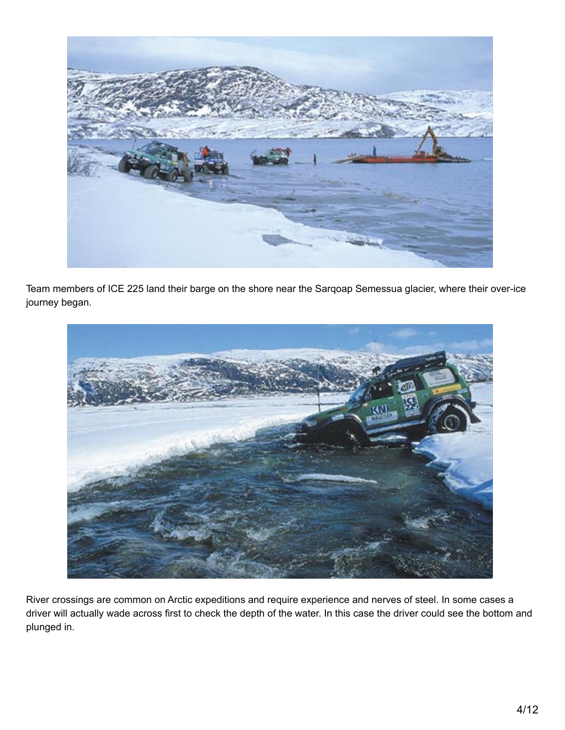

Team members of ICE 225 land their barge on the shore near the Sarqoap Semessua glacier, where their over-ice journey began.



River crossings are common on Arctic expeditions and require experience and nerves of steel. In some cases a driver will actually wade across first to check the depth of the water. In this case the driver could see the bottom and plunged in.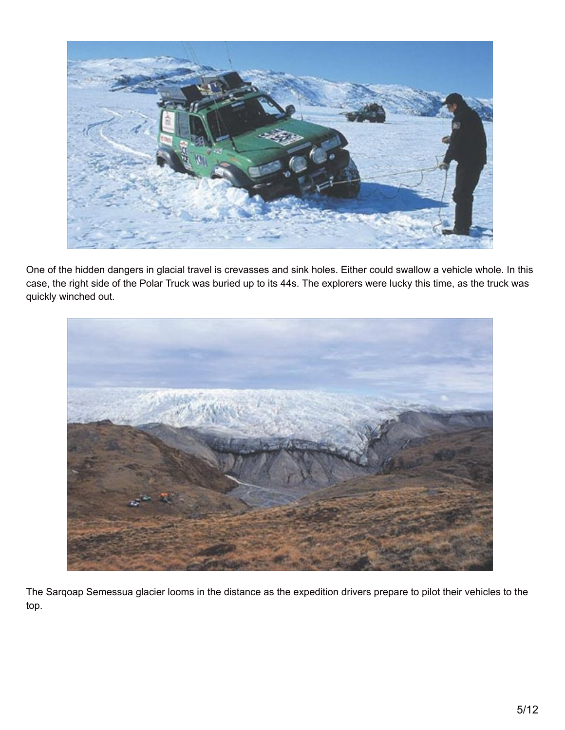

One of the hidden dangers in glacial travel is crevasses and sink holes. Either could swallow a vehicle whole. In this case, the right side of the Polar Truck was buried up to its 44s. The explorers were lucky this time, as the truck was quickly winched out.



The Sarqoap Semessua glacier looms in the distance as the expedition drivers prepare to pilot their vehicles to the top.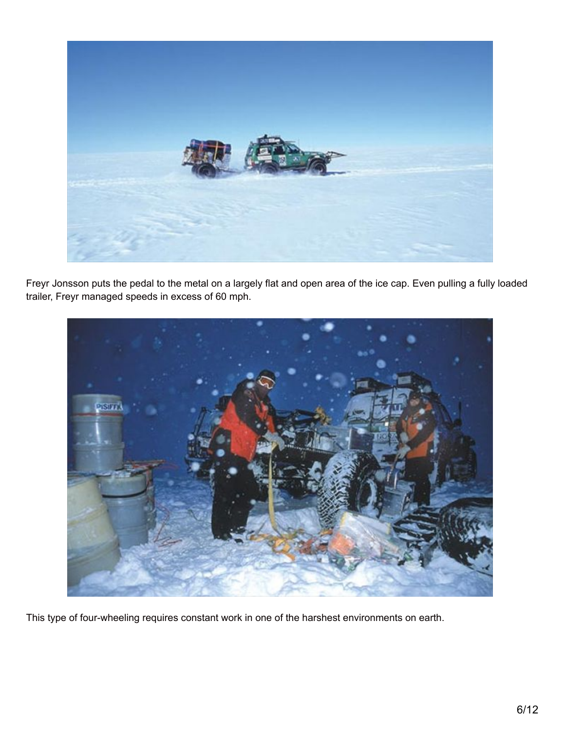

Freyr Jonsson puts the pedal to the metal on a largely flat and open area of the ice cap. Even pulling a fully loaded trailer, Freyr managed speeds in excess of 60 mph.



This type of four-wheeling requires constant work in one of the harshest environments on earth.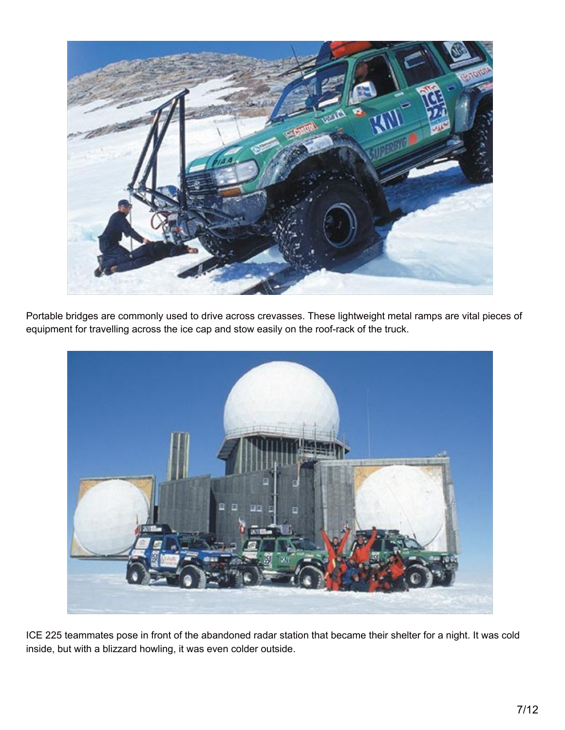

Portable bridges are commonly used to drive across crevasses. These lightweight metal ramps are vital pieces of equipment for travelling across the ice cap and stow easily on the roof-rack of the truck.



ICE 225 teammates pose in front of the abandoned radar station that became their shelter for a night. It was cold inside, but with a blizzard howling, it was even colder outside.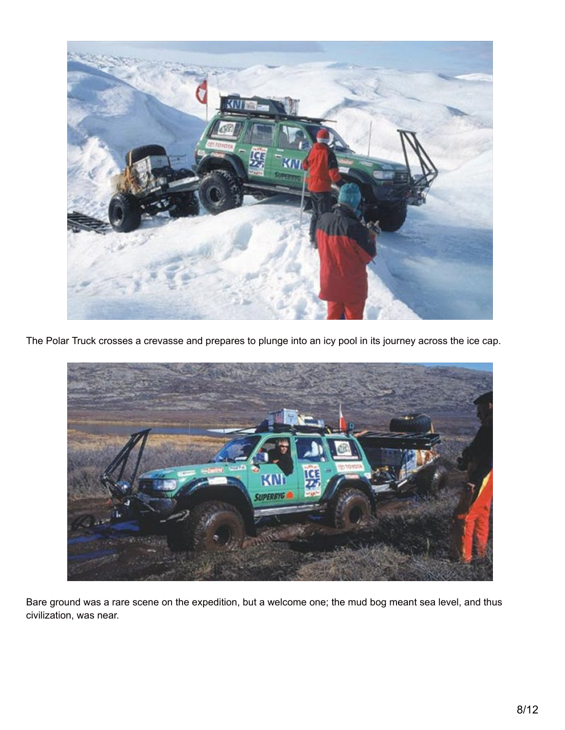

The Polar Truck crosses a crevasse and prepares to plunge into an icy pool in its journey across the ice cap.



Bare ground was a rare scene on the expedition, but a welcome one; the mud bog meant sea level, and thus civilization, was near.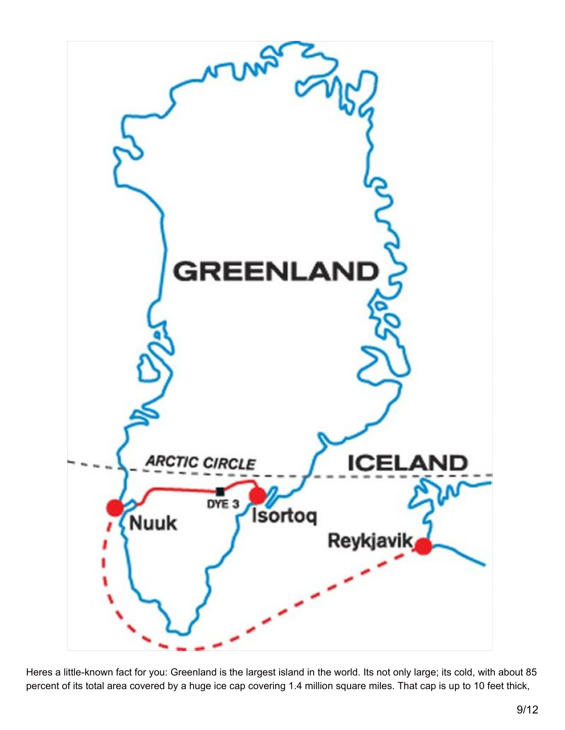

Heres a little-known fact for you: Greenland is the largest island in the world. Its not only large; its cold, with about 85 percent of its total area covered by a huge ice cap covering 1.4 million square miles. That cap is up to 10 feet thick,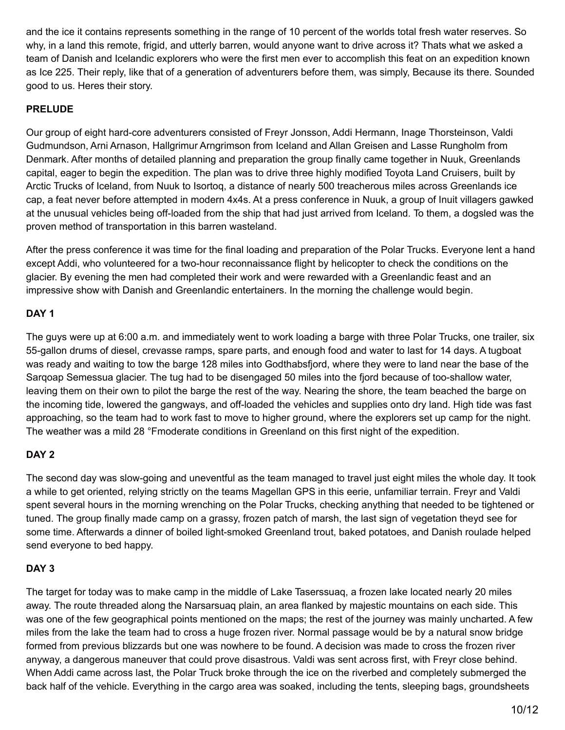and the ice it contains represents something in the range of 10 percent of the worlds total fresh water reserves. So why, in a land this remote, frigid, and utterly barren, would anyone want to drive across it? Thats what we asked a team of Danish and Icelandic explorers who were the first men ever to accomplish this feat on an expedition known as Ice 225. Their reply, like that of a generation of adventurers before them, was simply, Because its there. Sounded good to us. Heres their story.

#### **PRELUDE**

Our group of eight hard-core adventurers consisted of Freyr Jonsson, Addi Hermann, Inage Thorsteinson, Valdi Gudmundson, Arni Arnason, Hallgrimur Arngrimson from Iceland and Allan Greisen and Lasse Rungholm from Denmark. After months of detailed planning and preparation the group finally came together in Nuuk, Greenlands capital, eager to begin the expedition. The plan was to drive three highly modified Toyota Land Cruisers, built by Arctic Trucks of Iceland, from Nuuk to Isortoq, a distance of nearly 500 treacherous miles across Greenlands ice cap, a feat never before attempted in modern 4x4s. At a press conference in Nuuk, a group of Inuit villagers gawked at the unusual vehicles being off-loaded from the ship that had just arrived from Iceland. To them, a dogsled was the proven method of transportation in this barren wasteland.

After the press conference it was time for the final loading and preparation of the Polar Trucks. Everyone lent a hand except Addi, who volunteered for a two-hour reconnaissance flight by helicopter to check the conditions on the glacier. By evening the men had completed their work and were rewarded with a Greenlandic feast and an impressive show with Danish and Greenlandic entertainers. In the morning the challenge would begin.

#### **DAY 1**

The guys were up at 6:00 a.m. and immediately went to work loading a barge with three Polar Trucks, one trailer, six 55-gallon drums of diesel, crevasse ramps, spare parts, and enough food and water to last for 14 days. A tugboat was ready and waiting to tow the barge 128 miles into Godthabsfjord, where they were to land near the base of the Sarqoap Semessua glacier. The tug had to be disengaged 50 miles into the fjord because of too-shallow water, leaving them on their own to pilot the barge the rest of the way. Nearing the shore, the team beached the barge on the incoming tide, lowered the gangways, and off-loaded the vehicles and supplies onto dry land. High tide was fast approaching, so the team had to work fast to move to higher ground, where the explorers set up camp for the night. The weather was a mild 28 °Fmoderate conditions in Greenland on this first night of the expedition.

#### **DAY 2**

The second day was slow-going and uneventful as the team managed to travel just eight miles the whole day. It took a while to get oriented, relying strictly on the teams Magellan GPS in this eerie, unfamiliar terrain. Freyr and Valdi spent several hours in the morning wrenching on the Polar Trucks, checking anything that needed to be tightened or tuned. The group finally made camp on a grassy, frozen patch of marsh, the last sign of vegetation theyd see for some time. Afterwards a dinner of boiled light-smoked Greenland trout, baked potatoes, and Danish roulade helped send everyone to bed happy.

#### **DAY 3**

The target for today was to make camp in the middle of Lake Taserssuaq, a frozen lake located nearly 20 miles away. The route threaded along the Narsarsuaq plain, an area flanked by majestic mountains on each side. This was one of the few geographical points mentioned on the maps; the rest of the journey was mainly uncharted. A few miles from the lake the team had to cross a huge frozen river. Normal passage would be by a natural snow bridge formed from previous blizzards but one was nowhere to be found. A decision was made to cross the frozen river anyway, a dangerous maneuver that could prove disastrous. Valdi was sent across first, with Freyr close behind. When Addi came across last, the Polar Truck broke through the ice on the riverbed and completely submerged the back half of the vehicle. Everything in the cargo area was soaked, including the tents, sleeping bags, groundsheets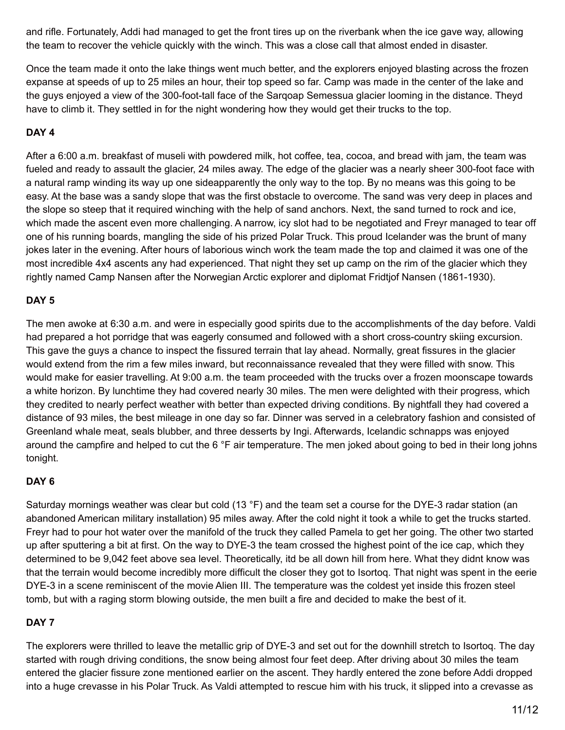and rifle. Fortunately, Addi had managed to get the front tires up on the riverbank when the ice gave way, allowing the team to recover the vehicle quickly with the winch. This was a close call that almost ended in disaster.

Once the team made it onto the lake things went much better, and the explorers enjoyed blasting across the frozen expanse at speeds of up to 25 miles an hour, their top speed so far. Camp was made in the center of the lake and the guys enjoyed a view of the 300-foot-tall face of the Sarqoap Semessua glacier looming in the distance. Theyd have to climb it. They settled in for the night wondering how they would get their trucks to the top.

### **DAY 4**

After a 6:00 a.m. breakfast of museli with powdered milk, hot coffee, tea, cocoa, and bread with jam, the team was fueled and ready to assault the glacier, 24 miles away. The edge of the glacier was a nearly sheer 300-foot face with a natural ramp winding its way up one sideapparently the only way to the top. By no means was this going to be easy. At the base was a sandy slope that was the first obstacle to overcome. The sand was very deep in places and the slope so steep that it required winching with the help of sand anchors. Next, the sand turned to rock and ice, which made the ascent even more challenging. A narrow, icy slot had to be negotiated and Freyr managed to tear off one of his running boards, mangling the side of his prized Polar Truck. This proud Icelander was the brunt of many jokes later in the evening. After hours of laborious winch work the team made the top and claimed it was one of the most incredible 4x4 ascents any had experienced. That night they set up camp on the rim of the glacier which they rightly named Camp Nansen after the Norwegian Arctic explorer and diplomat Fridtjof Nansen (1861-1930).

### **DAY 5**

The men awoke at 6:30 a.m. and were in especially good spirits due to the accomplishments of the day before. Valdi had prepared a hot porridge that was eagerly consumed and followed with a short cross-country skiing excursion. This gave the guys a chance to inspect the fissured terrain that lay ahead. Normally, great fissures in the glacier would extend from the rim a few miles inward, but reconnaissance revealed that they were filled with snow. This would make for easier travelling. At 9:00 a.m. the team proceeded with the trucks over a frozen moonscape towards a white horizon. By lunchtime they had covered nearly 30 miles. The men were delighted with their progress, which they credited to nearly perfect weather with better than expected driving conditions. By nightfall they had covered a distance of 93 miles, the best mileage in one day so far. Dinner was served in a celebratory fashion and consisted of Greenland whale meat, seals blubber, and three desserts by Ingi. Afterwards, Icelandic schnapps was enjoyed around the campfire and helped to cut the 6 °F air temperature. The men joked about going to bed in their long johns tonight.

# **DAY 6**

Saturday mornings weather was clear but cold (13 °F) and the team set a course for the DYE-3 radar station (an abandoned American military installation) 95 miles away. After the cold night it took a while to get the trucks started. Freyr had to pour hot water over the manifold of the truck they called Pamela to get her going. The other two started up after sputtering a bit at first. On the way to DYE-3 the team crossed the highest point of the ice cap, which they determined to be 9,042 feet above sea level. Theoretically, itd be all down hill from here. What they didnt know was that the terrain would become incredibly more difficult the closer they got to Isortoq. That night was spent in the eerie DYE-3 in a scene reminiscent of the movie Alien III. The temperature was the coldest yet inside this frozen steel tomb, but with a raging storm blowing outside, the men built a fire and decided to make the best of it.

# **DAY 7**

The explorers were thrilled to leave the metallic grip of DYE-3 and set out for the downhill stretch to Isortoq. The day started with rough driving conditions, the snow being almost four feet deep. After driving about 30 miles the team entered the glacier fissure zone mentioned earlier on the ascent. They hardly entered the zone before Addi dropped into a huge crevasse in his Polar Truck. As Valdi attempted to rescue him with his truck, it slipped into a crevasse as